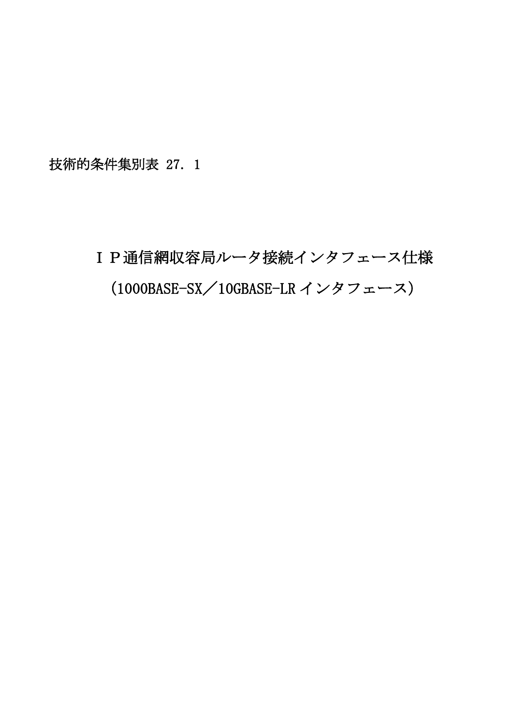技術的条件集別表 27.1

# IP通信網収容局ルータ接続インタフェース仕様 (1000BASE-SX/10GBASE-LR インタフェース)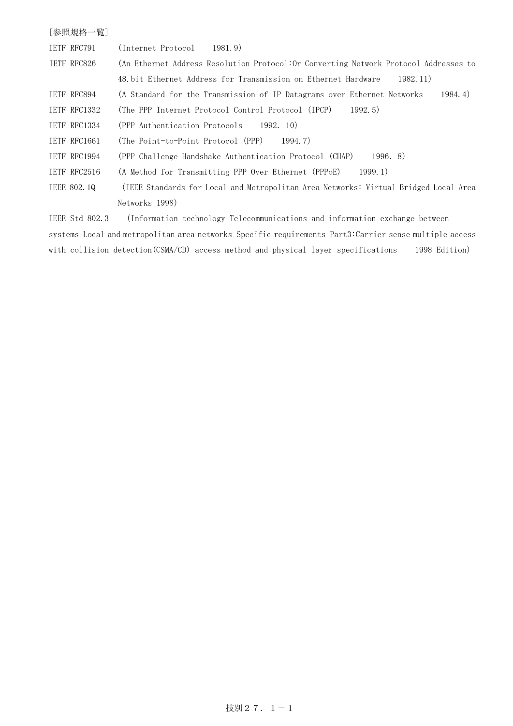| [参照規格一覧]            |                                                                                       |
|---------------------|---------------------------------------------------------------------------------------|
| <b>IETF RFC791</b>  | (Internet Protocol)<br>1981.9)                                                        |
| IETF RFC826         | (An Ethernet Address Resolution Protocol: Or Converting Network Protocol Addresses to |
|                     | 48 bit Ethernet Address for Transmission on Ethernet Hardware<br>1982.11)             |
| IETF RFC894         | (A Standard for the Transmission of IP Datagrams over Ethernet Networks<br>1984.4)    |
| TETF RFC1332        | (The PPP Internet Protocol Control Protocol (IPCP)<br>1992.5                          |
| <b>IETF RFC1334</b> | (PPP Authentication Protocols 1992. 10)                                               |
| IETF RFC1661        | (The Point-to-Point Protocol (PPP)<br>1994. 7)                                        |
| IETF RFC1994        | (PPP Challenge Handshake Authentication Protocol (CHAP)<br>1996.8                     |
| TETF RFC2516        | (A Method for Transmitting PPP Over Ethernet (PPPoE)<br>1999.1                        |
| IEEE 802.10         | (IEEE Standards for Local and Metropolitan Area Networks: Virtual Bridged Local Area  |
|                     | Networks 1998)                                                                        |
| TEEE S+J 809 3      | (Information tooppology-Tologommunications and information exchange between)          |

IEEE Std 802.3 (Information technology-Telecommunications and information exchange between systems-Local and metropolitan area networks-Specific requirements-Part3:Carrier sense multiple access with collision detection(CSMA/CD) access method and physical layer specifications 1998 Edition)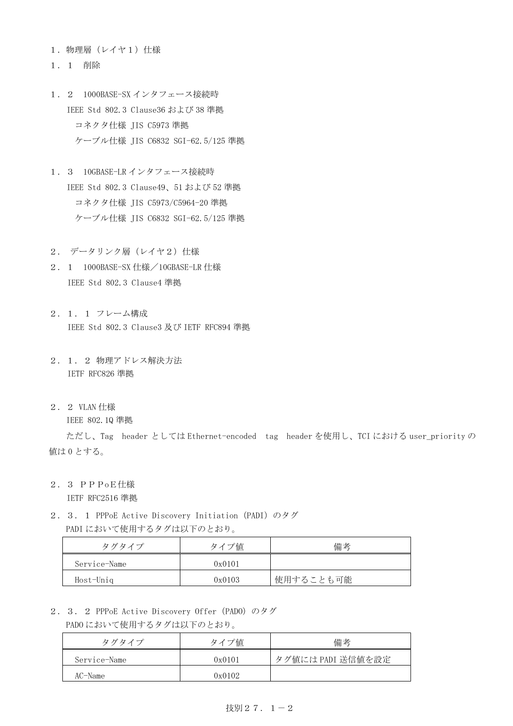- 1.物理層(レイヤ1)仕様
- 1.1 削除
- 1.2 1000BASE-SX インタフェース接続時 IEEE Std 802.3 Clause36 および 38 準拠 コネクタ仕様 JIS C5973 準拠 ケーブル仕様 JIS C6832 SGI-62.5/125 準拠
- 1.3 10GBASE-LR インタフェース接続時 IEEE Std 802.3 Clause49、51 および 52 準拠 コネクタ仕様 JIS C5973/C5964-20 準拠 ケーブル仕様 JIS C6832 SGI-62.5/125 準拠
- 2. データリンク層 (レイヤ2) 仕様
- 2. 1 1000BASE-SX 仕様/10GBASE-LR 仕様 IEEE Std 802.3 Clause4 準拠
- 2.1.1 フレーム構成 IEEE Std 802.3 Clause3 及び IETF RFC894 準拠
- 2.1.2 物理アドレス解決方法 IETF RFC826 準拠
- 2.2 VLAN 仕様

IEEE 802.1Q 準拠

ただし、Tag header としては Ethernet-encoded tag header を使用し、TCI における user\_priority の 値は 0 とする。

2.3 PPPoE仕様

IETF RFC2516 準拠

2. 3. 1 PPPoE Active Discovery Initiation (PADI) のタグ PADI において使用するタグは以下のとおり。

| タグタイプ        | タイプ値   | 備考        |
|--------------|--------|-----------|
| Service-Name | 0x0101 |           |
| Host-Uniq    | 0x0103 | 使用することも可能 |

2.3.2 PPPoE Active Discovery Offer (PADO) のタグ PADO において使用するタグは以下のとおり。

| タグタイプ        | タイプ値   | 備考                |  |
|--------------|--------|-------------------|--|
| Service-Name | 0x0101 | タグ値には PADI 送信値を設定 |  |
| AC-Name      | 0x0102 |                   |  |

### 技別  $27.1-2$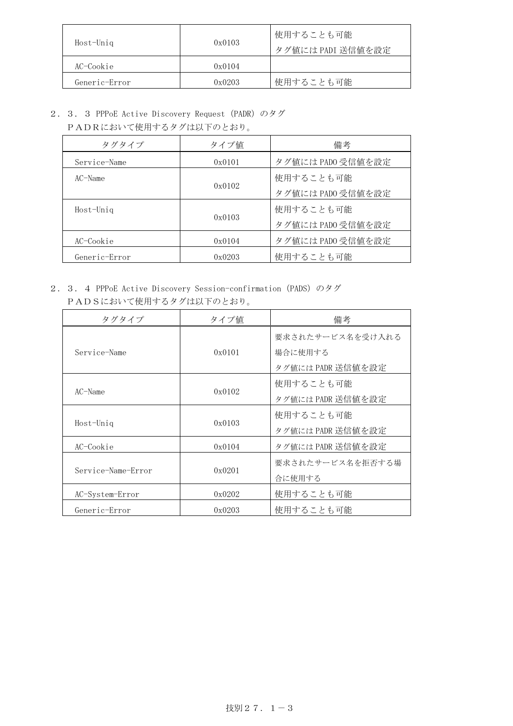| Host-Uniq     | 0x0103 | 使用することも可能<br>タグ値には PADI 送信値を設定 |  |
|---------------|--------|--------------------------------|--|
| AC-Cookie     | 0x0104 |                                |  |
| Generic-Error | 0x0203 | 使用することも可能                      |  |

2. 3. 3 PPPoE Active Discovery Request (PADR) のタグ

PADRにおいて使用するタグは以下のとおり。

| タグタイプ         | タイプ値   | 備考                |
|---------------|--------|-------------------|
| Service-Name  | 0x0101 | タグ値には PADO 受信値を設定 |
| $AC-Name$     |        | 使用することも可能         |
|               | 0x0102 | タグ値には PADO 受信値を設定 |
| Host-Uniq     |        | 使用することも可能         |
|               | 0x0103 | タグ値には PADO 受信値を設定 |
| AC-Cookie     | 0x0104 | タグ値には PADO 受信値を設定 |
| Generic-Error | 0x0203 | 使用することも可能         |

2. 3. 4 PPPoE Active Discovery Session-confirmation (PADS) のタグ PADSにおいて使用するタグは以下のとおり。

| タグタイプ              | タイプ値   | 備考                |
|--------------------|--------|-------------------|
|                    |        | 要求されたサービス名を受け入れる  |
| Service-Name       | 0x0101 | 場合に使用する           |
|                    |        | タグ値には PADR 送信値を設定 |
|                    |        | 使用することも可能         |
| $AC$ -Name         | 0x0102 | タグ値には PADR 送信値を設定 |
|                    |        | 使用することも可能         |
| Host-Uniq          | 0x0103 | タグ値には PADR 送信値を設定 |
| AC-Cookie          | 0x0104 | タグ値には PADR 送信値を設定 |
|                    |        | 要求されたサービス名を拒否する場  |
| Service-Name-Error | 0x0201 | 合に使用する            |
| AC-System-Error    | 0x0202 | 使用することも可能         |
| Generic-Error      | 0x0203 | 使用することも可能         |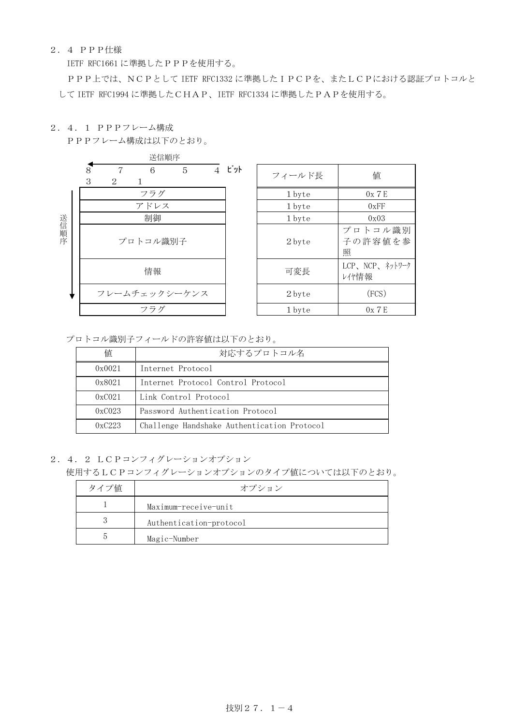## 2.4 PPP仕様

IETF RFC1661 に準拠したPPPを使用する。

PPP上では、NCPとして IETF RFC1332 に準拠したIPCPを、またLCPにおける認証プロトコルと して IETF RFC1994 に準拠したCHAP、IETF RFC1334 に準拠したPAPを使用する。

2.4.1 PPPフレーム構成

PPPフレーム構成は以下のとおり。



| ビット<br>6<br>5<br>$\overline{4}$ | フィールド長 | 値                       |
|---------------------------------|--------|-------------------------|
| フラグ                             | 1 byte | 0x7E                    |
| アドレス                            | 1 byte | 0xFF                    |
| 制御                              | 1 byte | 0x03                    |
| トコル識別子                          | 2 byte | プロトコル識別<br>子の許容値を参<br>照 |
| 情報                              | 可変長    | LCP、NCP、ネットワーク<br>レイヤ情報 |
| ェックシーケンス                        | 2 byte | (FCS)                   |
| フラグ                             | 1 byte | 0x7E                    |

プロトコル識別子フィールドの許容値は以下のとおり。

| 値      | 対応するプロトコル名                                  |
|--------|---------------------------------------------|
| 0x0021 | Internet Protocol                           |
| 0x8021 | Internet Protocol Control Protocol          |
| 0xC021 | Link Control Protocol                       |
| 0xC023 | Password Authentication Protocol            |
| 0xC223 | Challenge Handshake Authentication Protocol |

2.4.2 LCPコンフィグレーションオプション

使用するLCPコンフィグレーションオプションのタイプ値については以下のとおり。

| タイプ値 | オプション                   |
|------|-------------------------|
|      | Maximum-receive-unit    |
|      | Authentication-protocol |
|      | Magic-Number            |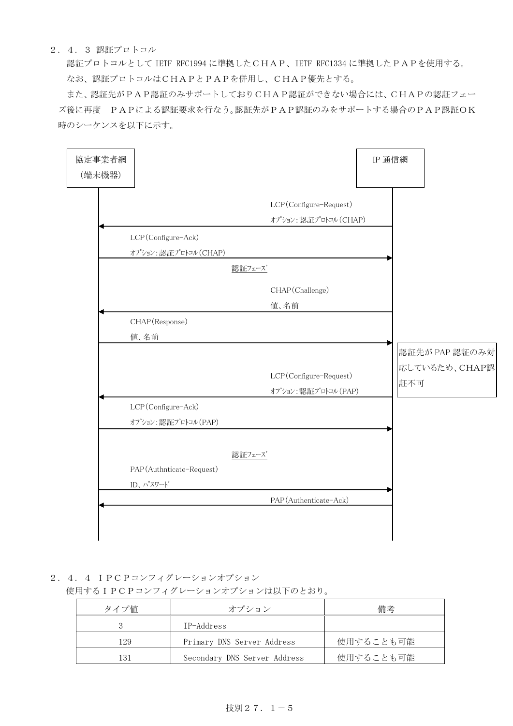## 2.4.3 認証プロトコル

認証プロトコルとして IETF RFC1994 に準拠したCHAP、IETF RFC1334 に準拠したPAPを使用する。 なお、認証プロトコルはCHAPとPAPを併用し、CHAP優先とする。

また、認証先がPAP認証のみサポートしておりCHAP認証ができない場合には、CHAPの認証フェー ズ後に再度 PAPによる認証要求を行なう。認証先がPAP認証のみをサポートする場合のPAP認証OK 時のシーケンスを以下に示す。

| 協定事業者網<br>(端末機器) |                                            |        |                                                | IP 通信網 |     |                                 |
|------------------|--------------------------------------------|--------|------------------------------------------------|--------|-----|---------------------------------|
|                  |                                            |        | LCP(Configure-Request)<br>オプション:認証プロトコル (CHAP) |        |     |                                 |
|                  | LCP(Configure-Ack)<br>オプション:認証プロトコル (CHAP) |        |                                                |        |     |                                 |
|                  |                                            | 認証フェーズ |                                                |        |     |                                 |
|                  |                                            |        | CHAP(Challenge)<br>值、名前                        |        |     |                                 |
|                  | CHAP (Response)<br>值、名前                    |        |                                                |        |     |                                 |
|                  |                                            |        | LCP(Configure-Request)<br>オプション:認証プロトコル (PAP)  |        | 証不可 | 認証先が PAP 認証のみ対<br>応しているため、CHAP認 |
|                  | LCP(Configure-Ack)<br>オプション:認証プロトコル (PAP)  |        |                                                |        |     |                                 |
|                  | PAP(Authnticate-Request)<br>ID、パスワート       | 認証フェーズ |                                                |        |     |                                 |
|                  |                                            |        | PAP (Authenticate-Ack)                         |        |     |                                 |

2.4.4 IPCPコンフィグレーションオプション

## 使用するIPCPコンフィグレーションオプションは以下のとおり。

| タイプ値 | オプション                        | 備考        |
|------|------------------------------|-----------|
|      | IP-Address                   |           |
| 129  | Primary DNS Server Address   | 使用することも可能 |
| 131  | Secondary DNS Server Address | 使用することも可能 |